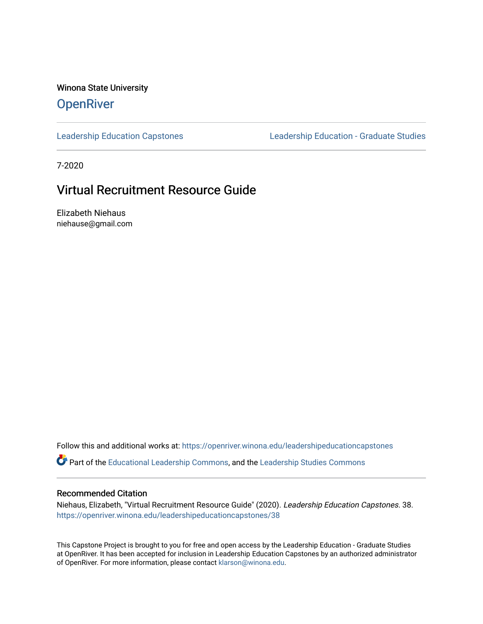Winona State University

### **OpenRiver**

[Leadership Education Capstones](https://openriver.winona.edu/leadershipeducationcapstones) [Leadership Education - Graduate Studies](https://openriver.winona.edu/leadershipeducation) 

7-2020

### Virtual Recruitment Resource Guide

Elizabeth Niehaus niehause@gmail.com

Follow this and additional works at: [https://openriver.winona.edu/leadershipeducationcapstones](https://openriver.winona.edu/leadershipeducationcapstones?utm_source=openriver.winona.edu%2Fleadershipeducationcapstones%2F38&utm_medium=PDF&utm_campaign=PDFCoverPages) 

Part of the [Educational Leadership Commons,](http://network.bepress.com/hgg/discipline/1230?utm_source=openriver.winona.edu%2Fleadershipeducationcapstones%2F38&utm_medium=PDF&utm_campaign=PDFCoverPages) and the [Leadership Studies Commons](http://network.bepress.com/hgg/discipline/1250?utm_source=openriver.winona.edu%2Fleadershipeducationcapstones%2F38&utm_medium=PDF&utm_campaign=PDFCoverPages)

#### Recommended Citation

Niehaus, Elizabeth, "Virtual Recruitment Resource Guide" (2020). Leadership Education Capstones. 38. [https://openriver.winona.edu/leadershipeducationcapstones/38](https://openriver.winona.edu/leadershipeducationcapstones/38?utm_source=openriver.winona.edu%2Fleadershipeducationcapstones%2F38&utm_medium=PDF&utm_campaign=PDFCoverPages) 

This Capstone Project is brought to you for free and open access by the Leadership Education - Graduate Studies at OpenRiver. It has been accepted for inclusion in Leadership Education Capstones by an authorized administrator of OpenRiver. For more information, please contact [klarson@winona.edu.](mailto:klarson@winona.edu)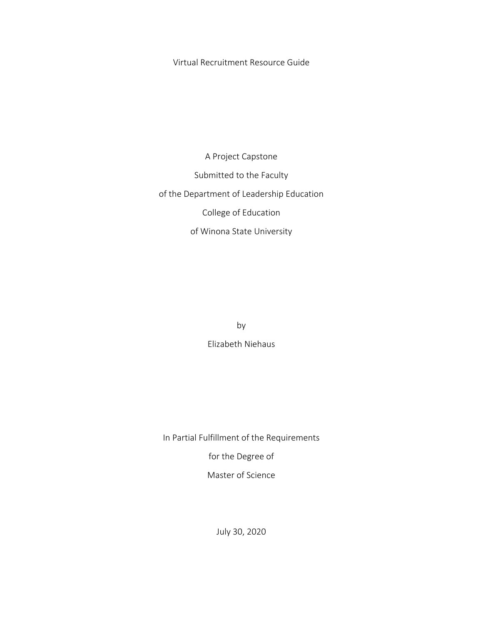Virtual Recruitment Resource Guide

A Project Capstone Submitted to the Faculty of the Department of Leadership Education College of Education of Winona State University

> by Elizabeth Niehaus

In Partial Fulfillment of the Requirements

for the Degree of

Master of Science

July 30, 2020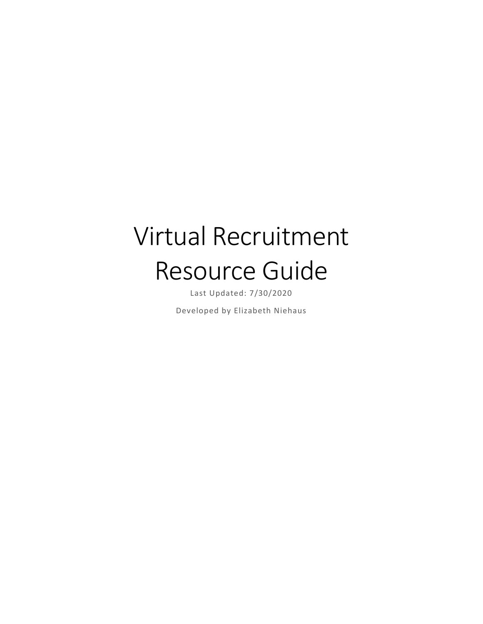# Virtual Recruitment Resource Guide

Last Updated: 7/30/2020

Developed by Elizabeth Niehaus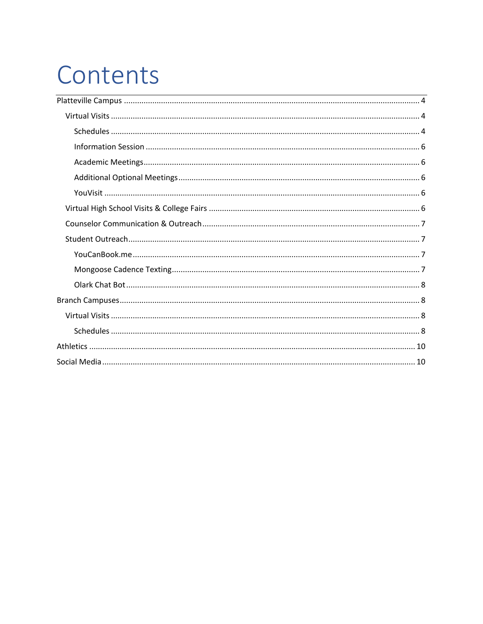# Contents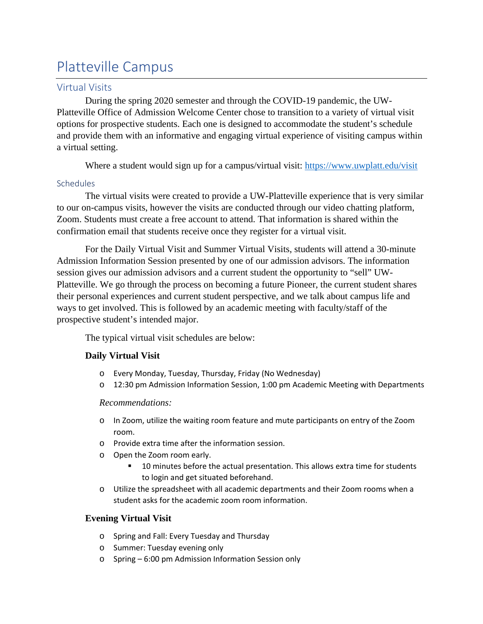# <span id="page-4-0"></span>Platteville Campus

#### <span id="page-4-1"></span>Virtual Visits

During the spring 2020 semester and through the COVID-19 pandemic, the UW-Platteville Office of Admission Welcome Center chose to transition to a variety of virtual visit options for prospective students. Each one is designed to accommodate the student's schedule and provide them with an informative and engaging virtual experience of visiting campus within a virtual setting.

Where a student would sign up for a campus/virtual visit:<https://www.uwplatt.edu/visit>

#### <span id="page-4-2"></span>**Schedules**

The virtual visits were created to provide a UW-Platteville experience that is very similar to our on-campus visits, however the visits are conducted through our video chatting platform, Zoom. Students must create a free account to attend. That information is shared within the confirmation email that students receive once they register for a virtual visit.

For the Daily Virtual Visit and Summer Virtual Visits, students will attend a 30-minute Admission Information Session presented by one of our admission advisors. The information session gives our admission advisors and a current student the opportunity to "sell" UW-Platteville. We go through the process on becoming a future Pioneer, the current student shares their personal experiences and current student perspective, and we talk about campus life and ways to get involved. This is followed by an academic meeting with faculty/staff of the prospective student's intended major.

The typical virtual visit schedules are below:

#### **Daily Virtual Visit**

- o Every Monday, Tuesday, Thursday, Friday (No Wednesday)
- o 12:30 pm Admission Information Session, 1:00 pm Academic Meeting with Departments

#### *Recommendations:*

- o In Zoom, utilize the waiting room feature and mute participants on entry of the Zoom room.
- o Provide extra time after the information session.
- o Open the Zoom room early.
	- 10 minutes before the actual presentation. This allows extra time for students to login and get situated beforehand.
- o Utilize the spreadsheet with all academic departments and their Zoom rooms when a student asks for the academic zoom room information.

#### **Evening Virtual Visit**

- o Spring and Fall: Every Tuesday and Thursday
- o Summer: Tuesday evening only
- o Spring 6:00 pm Admission Information Session only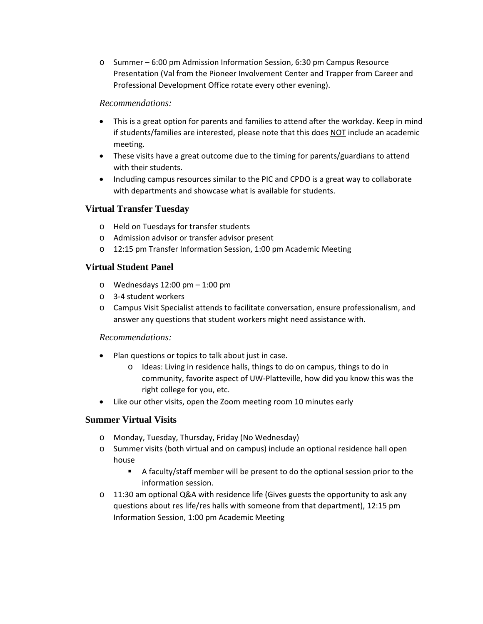o Summer – 6:00 pm Admission Information Session, 6:30 pm Campus Resource Presentation (Val from the Pioneer Involvement Center and Trapper from Career and Professional Development Office rotate every other evening).

#### *Recommendations:*

- This is a great option for parents and families to attend after the workday. Keep in mind if students/families are interested, please note that this does NOT include an academic meeting.
- These visits have a great outcome due to the timing for parents/guardians to attend with their students.
- Including campus resources similar to the PIC and CPDO is a great way to collaborate with departments and showcase what is available for students.

#### **Virtual Transfer Tuesday**

- o Held on Tuesdays for transfer students
- o Admission advisor or transfer advisor present
- o 12:15 pm Transfer Information Session, 1:00 pm Academic Meeting

#### **Virtual Student Panel**

- o Wednesdays 12:00 pm 1:00 pm
- o 3-4 student workers
- o Campus Visit Specialist attends to facilitate conversation, ensure professionalism, and answer any questions that student workers might need assistance with.

#### *Recommendations:*

- Plan questions or topics to talk about just in case.
	- o Ideas: Living in residence halls, things to do on campus, things to do in community, favorite aspect of UW-Platteville, how did you know this was the right college for you, etc.
- Like our other visits, open the Zoom meeting room 10 minutes early

#### **Summer Virtual Visits**

- o Monday, Tuesday, Thursday, Friday (No Wednesday)
- o Summer visits (both virtual and on campus) include an optional residence hall open house
	- A faculty/staff member will be present to do the optional session prior to the information session.
- o 11:30 am optional Q&A with residence life (Gives guests the opportunity to ask any questions about res life/res halls with someone from that department), 12:15 pm Information Session, 1:00 pm Academic Meeting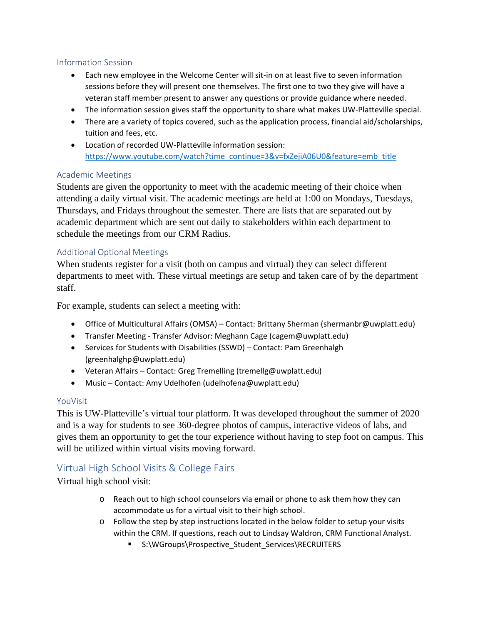#### <span id="page-6-0"></span>Information Session

- Each new employee in the Welcome Center will sit-in on at least five to seven information sessions before they will present one themselves. The first one to two they give will have a veteran staff member present to answer any questions or provide guidance where needed.
- The information session gives staff the opportunity to share what makes UW-Platteville special.
- There are a variety of topics covered, such as the application process, financial aid/scholarships, tuition and fees, etc.
- Location of recorded UW-Platteville information session: [https://www.youtube.com/watch?time\\_continue=3&v=fxZejiA06U0&feature=emb\\_title](https://www.youtube.com/watch?time_continue=3&v=fxZejiA06U0&feature=emb_title)

#### <span id="page-6-1"></span>Academic Meetings

Students are given the opportunity to meet with the academic meeting of their choice when attending a daily virtual visit. The academic meetings are held at 1:00 on Mondays, Tuesdays, Thursdays, and Fridays throughout the semester. There are lists that are separated out by academic department which are sent out daily to stakeholders within each department to schedule the meetings from our CRM Radius.

#### <span id="page-6-2"></span>Additional Optional Meetings

When students register for a visit (both on campus and virtual) they can select different departments to meet with. These virtual meetings are setup and taken care of by the department staff.

For example, students can select a meeting with:

- Office of Multicultural Affairs (OMSA) Contact: Brittany Sherman (shermanbr@uwplatt.edu)
- Transfer Meeting Transfer Advisor: Meghann Cage (cagem@uwplatt.edu)
- Services for Students with Disabilities (SSWD) Contact: Pam Greenhalgh (greenhalghp@uwplatt.edu)
- Veteran Affairs Contact: Greg Tremelling (tremellg@uwplatt.edu)
- Music Contact: Amy Udelhofen (udelhofena@uwplatt.edu)

#### <span id="page-6-3"></span>YouVisit

This is UW-Platteville's virtual tour platform. It was developed throughout the summer of 2020 and is a way for students to see 360-degree photos of campus, interactive videos of labs, and gives them an opportunity to get the tour experience without having to step foot on campus. This will be utilized within virtual visits moving forward.

#### <span id="page-6-4"></span>Virtual High School Visits & College Fairs

Virtual high school visit:

- o Reach out to high school counselors via email or phone to ask them how they can accommodate us for a virtual visit to their high school.
- o Follow the step by step instructions located in the below folder to setup your visits within the CRM. If questions, reach out to Lindsay Waldron, CRM Functional Analyst.
	- S:\WGroups\Prospective\_Student\_Services\RECRUITERS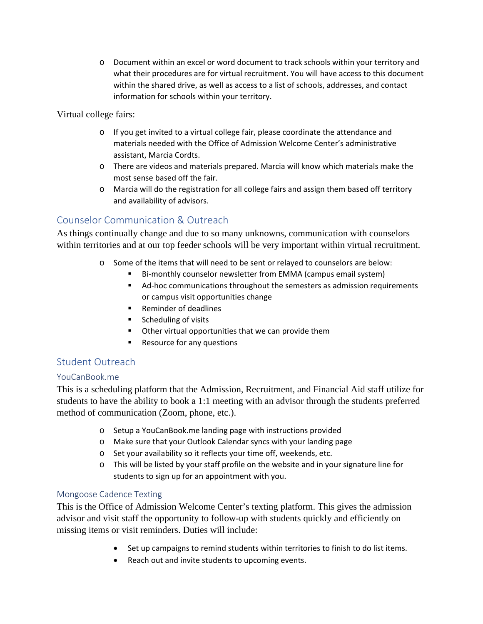o Document within an excel or word document to track schools within your territory and what their procedures are for virtual recruitment. You will have access to this document within the shared drive, as well as access to a list of schools, addresses, and contact information for schools within your territory.

Virtual college fairs:

- o If you get invited to a virtual college fair, please coordinate the attendance and materials needed with the Office of Admission Welcome Center's administrative assistant, Marcia Cordts.
- o There are videos and materials prepared. Marcia will know which materials make the most sense based off the fair.
- o Marcia will do the registration for all college fairs and assign them based off territory and availability of advisors.

#### <span id="page-7-0"></span>Counselor Communication & Outreach

As things continually change and due to so many unknowns, communication with counselors within territories and at our top feeder schools will be very important within virtual recruitment.

- o Some of the items that will need to be sent or relayed to counselors are below:
	- Bi-monthly counselor newsletter from EMMA (campus email system)
	- Ad-hoc communications throughout the semesters as admission requirements or campus visit opportunities change
	- Reminder of deadlines
	- **Scheduling of visits**
	- Other virtual opportunities that we can provide them
	- **Resource for any questions**

#### <span id="page-7-1"></span>Student Outreach

#### <span id="page-7-2"></span>YouCanBook.me

This is a scheduling platform that the Admission, Recruitment, and Financial Aid staff utilize for students to have the ability to book a 1:1 meeting with an advisor through the students preferred method of communication (Zoom, phone, etc.).

- o Setup a YouCanBook.me landing page with instructions provided
- o Make sure that your Outlook Calendar syncs with your landing page
- o Set your availability so it reflects your time off, weekends, etc.
- o This will be listed by your staff profile on the website and in your signature line for students to sign up for an appointment with you.

#### <span id="page-7-3"></span>Mongoose Cadence Texting

This is the Office of Admission Welcome Center's texting platform. This gives the admission advisor and visit staff the opportunity to follow-up with students quickly and efficiently on missing items or visit reminders. Duties will include:

- Set up campaigns to remind students within territories to finish to do list items.
- Reach out and invite students to upcoming events.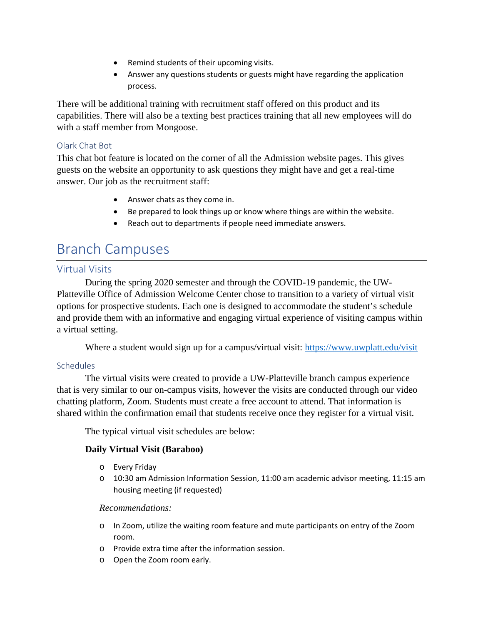- Remind students of their upcoming visits.
- Answer any questions students or guests might have regarding the application process.

There will be additional training with recruitment staff offered on this product and its capabilities. There will also be a texting best practices training that all new employees will do with a staff member from Mongoose.

#### <span id="page-8-0"></span>Olark Chat Bot

This chat bot feature is located on the corner of all the Admission website pages. This gives guests on the website an opportunity to ask questions they might have and get a real-time answer. Our job as the recruitment staff:

- Answer chats as they come in.
- Be prepared to look things up or know where things are within the website.
- Reach out to departments if people need immediate answers.

## <span id="page-8-1"></span>Branch Campuses

#### <span id="page-8-2"></span>Virtual Visits

During the spring 2020 semester and through the COVID-19 pandemic, the UW-Platteville Office of Admission Welcome Center chose to transition to a variety of virtual visit options for prospective students. Each one is designed to accommodate the student's schedule and provide them with an informative and engaging virtual experience of visiting campus within a virtual setting.

Where a student would sign up for a campus/virtual visit:<https://www.uwplatt.edu/visit>

#### <span id="page-8-3"></span>**Schedules**

The virtual visits were created to provide a UW-Platteville branch campus experience that is very similar to our on-campus visits, however the visits are conducted through our video chatting platform, Zoom. Students must create a free account to attend. That information is shared within the confirmation email that students receive once they register for a virtual visit.

The typical virtual visit schedules are below:

#### **Daily Virtual Visit (Baraboo)**

- o Every Friday
- $\circ$  10:30 am Admission Information Session, 11:00 am academic advisor meeting, 11:15 am housing meeting (if requested)

#### *Recommendations:*

- o In Zoom, utilize the waiting room feature and mute participants on entry of the Zoom room.
- o Provide extra time after the information session.
- o Open the Zoom room early.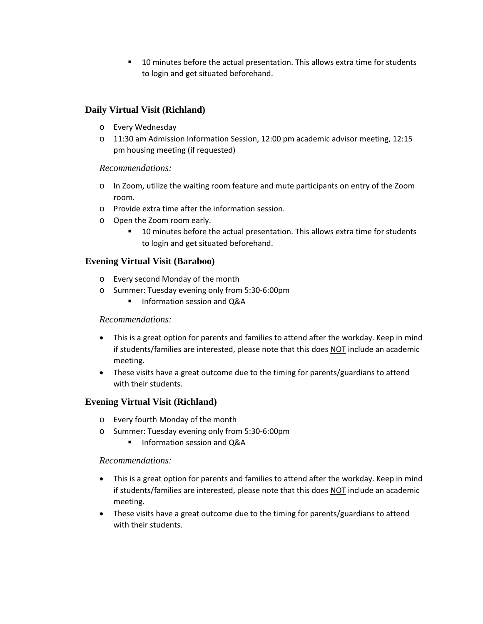**10 minutes before the actual presentation. This allows extra time for students** to login and get situated beforehand.

#### **Daily Virtual Visit (Richland)**

- o Every Wednesday
- o 11:30 am Admission Information Session, 12:00 pm academic advisor meeting, 12:15 pm housing meeting (if requested)

#### *Recommendations:*

- o In Zoom, utilize the waiting room feature and mute participants on entry of the Zoom room.
- o Provide extra time after the information session.
- o Open the Zoom room early.
	- **10 minutes before the actual presentation. This allows extra time for students** to login and get situated beforehand.

#### **Evening Virtual Visit (Baraboo)**

- o Every second Monday of the month
- o Summer: Tuesday evening only from 5:30-6:00pm
	- Information session and Q&A

#### *Recommendations:*

- This is a great option for parents and families to attend after the workday. Keep in mind if students/families are interested, please note that this does NOT include an academic meeting.
- These visits have a great outcome due to the timing for parents/guardians to attend with their students.

#### **Evening Virtual Visit (Richland)**

- o Every fourth Monday of the month
- o Summer: Tuesday evening only from 5:30-6:00pm
	- **Information session and Q&A**

#### *Recommendations:*

- This is a great option for parents and families to attend after the workday. Keep in mind if students/families are interested, please note that this does NOT include an academic meeting.
- These visits have a great outcome due to the timing for parents/guardians to attend with their students.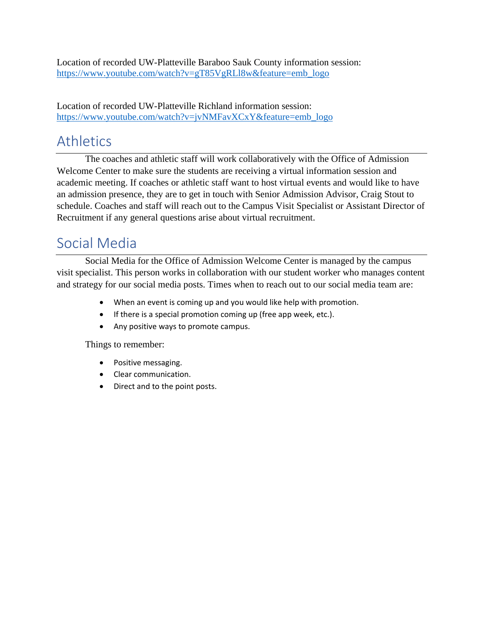Location of recorded UW-Platteville Baraboo Sauk County information session: [https://www.youtube.com/watch?v=gT85VgRLl8w&feature=emb\\_logo](https://www.youtube.com/watch?v=gT85VgRLl8w&feature=emb_logo)

Location of recorded UW-Platteville Richland information session: [https://www.youtube.com/watch?v=jvNMFavXCxY&feature=emb\\_logo](https://www.youtube.com/watch?v=jvNMFavXCxY&feature=emb_logo)

## <span id="page-10-0"></span>Athletics

The coaches and athletic staff will work collaboratively with the Office of Admission Welcome Center to make sure the students are receiving a virtual information session and academic meeting. If coaches or athletic staff want to host virtual events and would like to have an admission presence, they are to get in touch with Senior Admission Advisor, Craig Stout to schedule. Coaches and staff will reach out to the Campus Visit Specialist or Assistant Director of Recruitment if any general questions arise about virtual recruitment.

## <span id="page-10-1"></span>Social Media

Social Media for the Office of Admission Welcome Center is managed by the campus visit specialist. This person works in collaboration with our student worker who manages content and strategy for our social media posts. Times when to reach out to our social media team are:

- When an event is coming up and you would like help with promotion.
- If there is a special promotion coming up (free app week, etc.).
- Any positive ways to promote campus.

Things to remember:

- Positive messaging.
- Clear communication.
- Direct and to the point posts.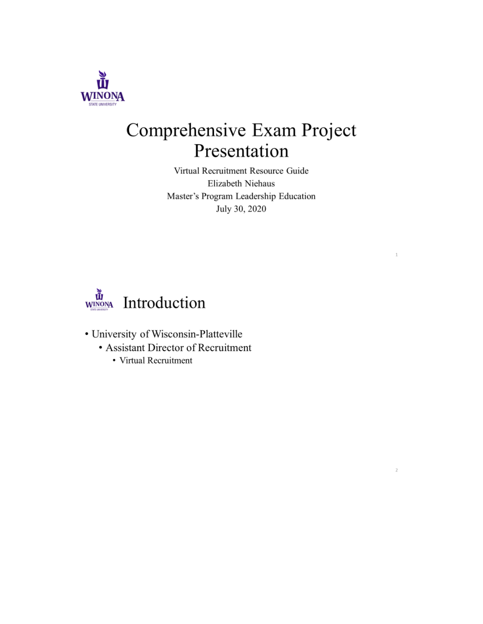

# Comprehensive Exam Project Presentation

Virtual Recruitment Resource Guide Elizabeth Niehaus Master's Program Leadership Education July 30, 2020

 $\bar{1}$ 

 $\bar{Z}$ 



- University of Wisconsin-Platteville
	- Assistant Director of Recruitment
		- Virtual Recruitment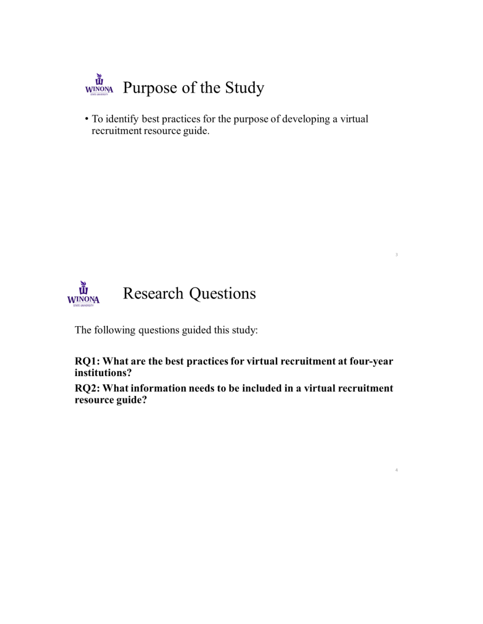

• To identify best practices for the purpose of developing a virtual recruitment resource guide.



The following questions guided this study:

RQ1: What are the best practices for virtual recruitment at four-year institutions?

3

4

RQ2: What information needs to be included in a virtual recruitment resource guide?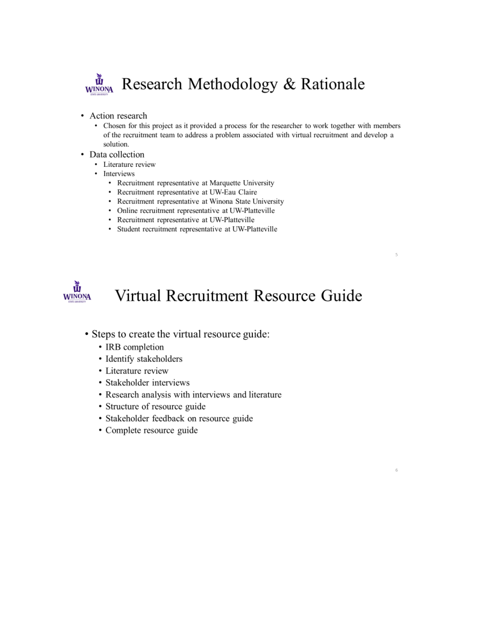

- Action research
	- Chosen for this project as it provided a process for the researcher to work together with members of the recruitment team to address a problem associated with virtual recruitment and develop a solution.
- Data collection
	- Literature review
	- Interviews
		- Recruitment representative at Marquette University
		- Recruitment representative at UW-Eau Claire
		- Recruitment representative at Winona State University
		- Online recruitment representative at UW-Platteville
		- Recruitment representative at UW-Platteville
		- Student recruitment representative at UW-Platteville



# Virtual Recruitment Resource Guide

 $\Gamma_{\rm b}$ 

- Steps to create the virtual resource guide:
	- IRB completion
	- Identify stakeholders
	- Literature review
	- Stakeholder interviews
	- Research analysis with interviews and literature
	- Structure of resource guide
	- · Stakeholder feedback on resource guide
	- Complete resource guide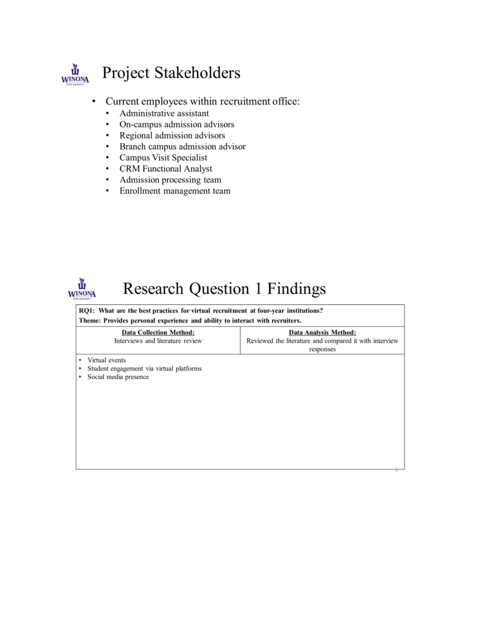

# Project Stakeholders

- Current employees within recruitment office:  $\bullet$ 
	- Administrative assistant .
	- On-campus admission advisors  $\bullet$
	- Regional admission advisors  $\bullet$
	- Branch campus admission advisor  $\bullet$
	- Campus Visit Specialist
	- $\bullet$ **CRM Functional Analyst**
	- Admission processing team ۰
	- Enrollment management team .



# **Research Question 1 Findings**

#### RQ1: What are the best practices for virtual recruitment at four-year institutions? Theme: Provides personal experience and ability to interact with recruiters.

|                                                                                                    | <b>Data Collection Method:</b><br>Interviews and literature review | Data Analysis Method:<br>Reviewed the literature and compared it with interview<br>responses |
|----------------------------------------------------------------------------------------------------|--------------------------------------------------------------------|----------------------------------------------------------------------------------------------|
| Virtual events<br>٠<br>Student engagement via virtual platforms<br>٠<br>Social media presence<br>٠ |                                                                    |                                                                                              |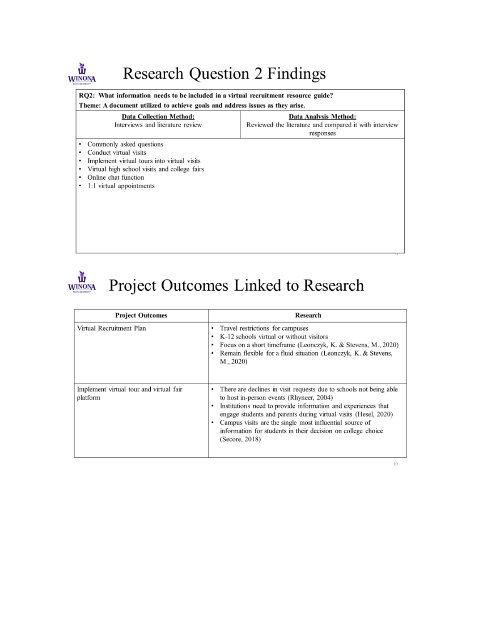#### **WINONA Research Question 2 Findings**

### RQ2: What information needs to be included in a virtual recruitment resource guide?

| Theme: A document utilized to achieve goals and address issues as they arise.                                                                                                                                                    |                                                                                              |  |
|----------------------------------------------------------------------------------------------------------------------------------------------------------------------------------------------------------------------------------|----------------------------------------------------------------------------------------------|--|
| <b>Data Collection Method:</b><br>Interviews and literature review                                                                                                                                                               | Data Analysis Method:<br>Reviewed the literature and compared it with interview<br>responses |  |
| • Commonly asked questions<br>Conduct virtual visits<br>٠<br>Implement virtual tours into virtual visits<br>٠<br>Virtual high school visits and college fairs<br>٠<br>Online chat function<br>٠<br>1:1 virtual appointments<br>٠ |                                                                                              |  |



| <b>Project Outcomes</b>                             | Research                                                                                                                                                                                                                                                                                                                                                                                                       |
|-----------------------------------------------------|----------------------------------------------------------------------------------------------------------------------------------------------------------------------------------------------------------------------------------------------------------------------------------------------------------------------------------------------------------------------------------------------------------------|
| Virtual Recruitment Plan                            | • Travel restrictions for campuses<br>K-12 schools virtual or without visitors<br>٠<br>Focus on a short timeframe (Leonczyk, K. & Stevens, M., 2020)<br>٠<br>Remain flexible for a fluid situation (Leonczyk, K. & Stevens,<br>٠<br>M., 2020)                                                                                                                                                                  |
| Implement virtual tour and virtual fair<br>platform | There are declines in visit requests due to schools not being able<br>٠<br>to host in-person events (Rhyneer, 2004)<br>Institutions need to provide information and experiences that<br>٠<br>engage students and parents during virtual visits (Hesel, 2020)<br>Campus visits are the single most influential source of<br>٠<br>information for students in their decision on college choice<br>(Secore, 2018) |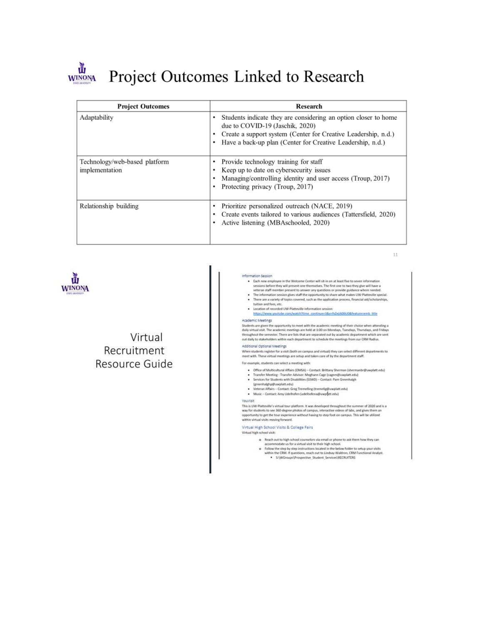

# Project Outcomes Linked to Research

| <b>Project Outcomes</b>                         | Research                                                                                                                                                                                                                                     |
|-------------------------------------------------|----------------------------------------------------------------------------------------------------------------------------------------------------------------------------------------------------------------------------------------------|
| Adaptability                                    | Students indicate they are considering an option closer to home<br>٠<br>due to COVID-19 (Jaschik, 2020)<br>Create a support system (Center for Creative Leadership, n.d.)<br>Have a back-up plan (Center for Creative Leadership, n.d.)<br>٠ |
| Technology/web-based platform<br>implementation | Provide technology training for staff<br>٠<br>Keep up to date on cybersecurity issues<br>Managing/controlling identity and user access (Troup, 2017)<br>Protecting privacy (Troup, 2017)<br>٠                                                |
| Relationship building                           | Prioritize personalized outreach (NACE, 2019)<br>٠<br>Create events tailored to various audiences (Tattersfield, 2020)<br>٠<br>Active listening (MBAschooled, 2020)<br>٠                                                                     |



### Virtual Recruitment Resource Guide

Information Session

| . Each new employee in the Welcome Center will sit-in on at least five to seven information<br>sessions before they will present one themselves. The first one to two they give will have a<br>veteran staff member present to answer any questions or provide guidance where needed.<br>The information session gives staff the opportunity to share what makes UW-Platteville special.<br>۰<br>There are a variety of topics covered, such as the application process, financial aid/scholarships,<br>٠<br>tuition and fees, etc.<br>· Location of recorded UW-Platteville information session:<br>https://www.youtube.com/watch?time_continue=3&v=fxZejiAD6UO&feature=emb_title |
|------------------------------------------------------------------------------------------------------------------------------------------------------------------------------------------------------------------------------------------------------------------------------------------------------------------------------------------------------------------------------------------------------------------------------------------------------------------------------------------------------------------------------------------------------------------------------------------------------------------------------------------------------------------------------------|
| cademic Meetings                                                                                                                                                                                                                                                                                                                                                                                                                                                                                                                                                                                                                                                                   |
| tudents are given the opportunity to meet with the academic meeting of their choice when attending a<br>aily virtual visit. The academic meetings are held at 1:00 on Mondays, Tuesdays, Thursdays, and Fridays<br>troughout the semester. There are lists that are separated out by academic department which are sent<br>ut daily to stakeholders within each department to schedule the meetings from our CRM Radius.                                                                                                                                                                                                                                                           |
| dditional Optional Meetings                                                                                                                                                                                                                                                                                                                                                                                                                                                                                                                                                                                                                                                        |
| Then students register for a visit (both on campus and virtual) they can select different departments to<br>leet with. These virtual meetings are setup and taken care of by the department staff.                                                                                                                                                                                                                                                                                                                                                                                                                                                                                 |
| or example, students can select a meeting with:                                                                                                                                                                                                                                                                                                                                                                                                                                                                                                                                                                                                                                    |
| · Office of Multicultural Affairs (OMSA) - Contact: Brittany Sherman (shermanbr@uwplatt.edu)<br>Transfer Meeting - Transfer Advisor: Meghann Cage (cagem@uwplatt.edu)<br>٠<br>Services for Students with Disabilities (SSWD) - Contact: Pam Greenhalgh<br>٠<br>(greenhalghp@uwplatt.edu)<br>Veteran Affairs - Contact: Greg Tremelling (tremellg@uwplatt.edu)<br>٠<br>Music - Contact: Amy Udelhofen (udelhofena@uws@tt.edu)<br>۰                                                                                                                                                                                                                                                  |
| tiaivuo                                                                                                                                                                                                                                                                                                                                                                                                                                                                                                                                                                                                                                                                            |
| his is UW-Platteville's virtual tour platform. It was developed throughout the summer of 2020 and is a<br>ay for students to see 360-degree photos of campus, interactive videos of labs, and gives them an<br>pportunity to get the tour experience without having to step foot on campus. This will be utilized<br>ithis virtual visits moving forward.                                                                                                                                                                                                                                                                                                                          |
| irtual High School Visits & College Fairs                                                                                                                                                                                                                                                                                                                                                                                                                                                                                                                                                                                                                                          |
| irtual high school visit:                                                                                                                                                                                                                                                                                                                                                                                                                                                                                                                                                                                                                                                          |
| o Reach out to high school counselors via email or phone to ask them how they can<br>accommodate us for a virtual visit to their high school.<br>a. Enflore this stay has done included the teach of the third background and contained and the control of the                                                                                                                                                                                                                                                                                                                                                                                                                     |

- 
- Follow the step by step instructions located in the below folder to setup your visits<br>within the CRM. If questions, reach out to Lindsiay Waldron, CRM Functional Analyst.<br>S:\WGroups\Prospective\_Student\_Services\RECRUITERS

 $11\,$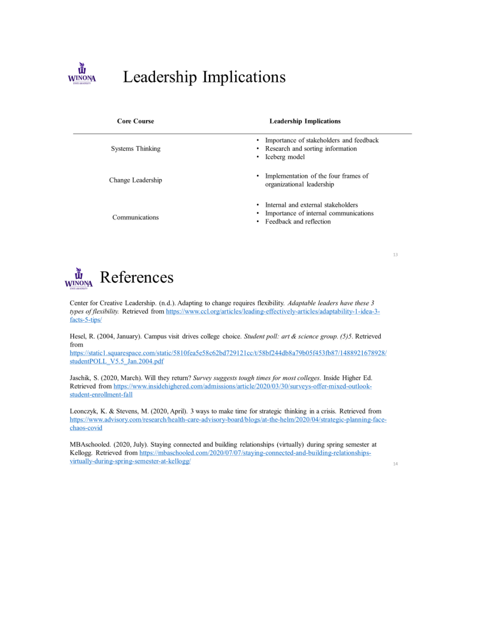

# Leadership Implications

| <b>Core Course</b> | <b>Leadership Implications</b>                                                                          |
|--------------------|---------------------------------------------------------------------------------------------------------|
| Systems Thinking   | Importance of stakeholders and feedback<br>Research and sorting information<br>۰.<br>Iceberg model<br>٠ |
| Change Leadership  | Implementation of the four frames of<br>٠.<br>organizational leadership                                 |
| Communications     | Internal and external stakeholders<br>Importance of internal communications<br>Feedback and reflection  |



Center for Creative Leadership. (n.d.). Adapting to change requires flexibility. Adaptable leaders have these 3 types of flexibility. Retrieved from https://www.ccl.org/articles/leading-effectively-articles/adaptability-1-idea-3facts-5-tips/

Hesel, R. (2004, January). Campus visit drives college choice. Student poll: art & science group. (5)5. Retrieved from

https://static1.squarespace.com/static/5810fea5e58c62bd729121cc/t/58bf244db8a79b05f453fb87/1488921678928/ studentPOLL\_V5.5\_Jan.2004.pdf

Jaschik, S. (2020, March). Will they return? Survey suggests tough times for most colleges. Inside Higher Ed. Retrieved from https://www.insidehighered.com/admissions/article/2020/03/30/surveys-offer-mixed-outlookstudent-enrollment-fall

Leonczyk, K. & Stevens, M. (2020, April). 3 ways to make time for strategic thinking in a crisis. Retrieved from https://www.advisory.com/research/health-care-advisory-board/blogs/at-the-helm/2020/04/strategic-planning-facechaos-covid

MBAschooled. (2020, July). Staying connected and building relationships (virtually) during spring semester at Kellogg. Retrieved from https://mbaschooled.com/2020/07/07/staying-connected-and-building-relationshipsvirtually-during-spring-semester-at-kellogg/

 $14\,$ 

13